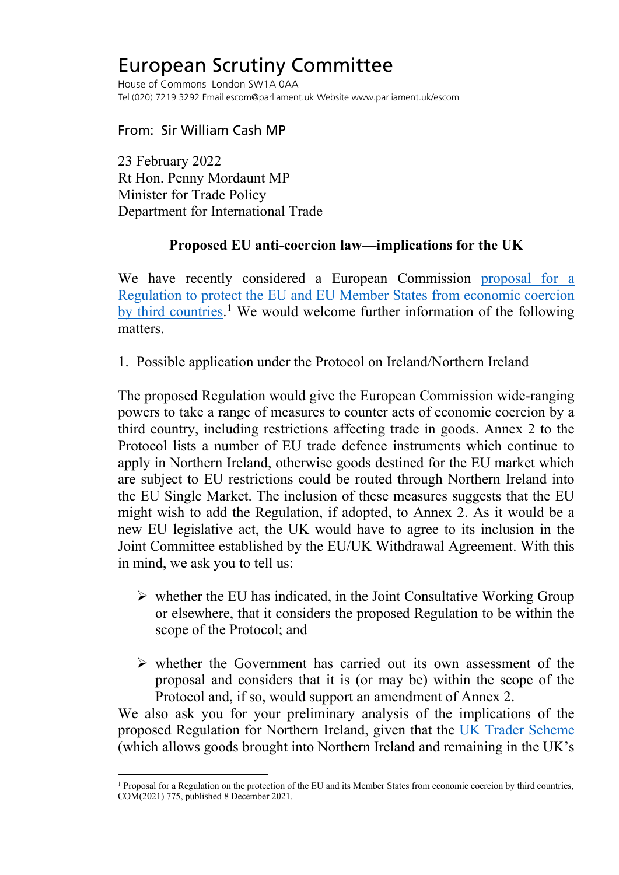# European Scrutiny Committee

House of Commons London SW1A 0AA Tel (020) 7219 3292 Email escom@parliament.uk Website www.parliament.uk/escom

From: Sir William Cash MP

23 February 2022 Rt Hon. Penny Mordaunt MP Minister for Trade Policy Department for International Trade

### **Proposed EU anti-coercion law—implications for the UK**

We have recently considered a European Commission [proposal for a](https://trade.ec.europa.eu/doclib/docs/2021/december/tradoc_159958.pdf)  [Regulation to protect the EU and EU Member States from economic coercion](https://trade.ec.europa.eu/doclib/docs/2021/december/tradoc_159958.pdf)  [by third countries.](https://trade.ec.europa.eu/doclib/docs/2021/december/tradoc_159958.pdf)<sup>[1](#page-0-0)</sup> We would welcome further information of the following matters.

#### 1. Possible application under the Protocol on Ireland/Northern Ireland

The proposed Regulation would give the European Commission wide-ranging powers to take a range of measures to counter acts of economic coercion by a third country, including restrictions affecting trade in goods. Annex 2 to the Protocol lists a number of EU trade defence instruments which continue to apply in Northern Ireland, otherwise goods destined for the EU market which are subject to EU restrictions could be routed through Northern Ireland into the EU Single Market. The inclusion of these measures suggests that the EU might wish to add the Regulation, if adopted, to Annex 2. As it would be a new EU legislative act, the UK would have to agree to its inclusion in the Joint Committee established by the EU/UK Withdrawal Agreement. With this in mind, we ask you to tell us:

- $\triangleright$  whether the EU has indicated, in the Joint Consultative Working Group or elsewhere, that it considers the proposed Regulation to be within the scope of the Protocol; and
- $\triangleright$  whether the Government has carried out its own assessment of the proposal and considers that it is (or may be) within the scope of the Protocol and, if so, would support an amendment of Annex 2.

We also ask you for your preliminary analysis of the implications of the proposed Regulation for Northern Ireland, given that the [UK Trader Scheme](https://www.gov.uk/guidance/apply-for-authorisation-for-the-uk-trader-scheme-if-you-bring-goods-into-northern-ireland) (which allows goods brought into Northern Ireland and remaining in the UK's

<span id="page-0-0"></span><sup>&</sup>lt;sup>1</sup> Proposal for a Regulation on the protection of the EU and its Member States from economic coercion by third countries, COM(2021) 775, published 8 December 2021.